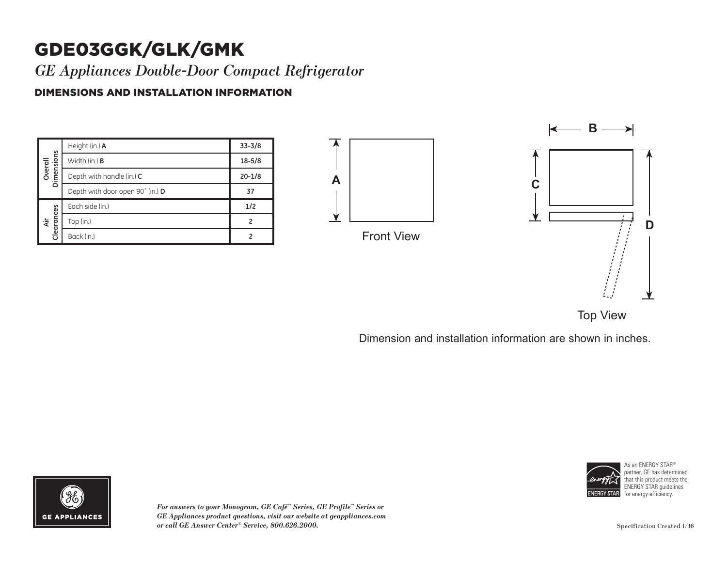# GDE03GGK/GLK/GMK

*GE Appliances Double-Door Compact Refrigerator*

### DIMENSIONS AND INSTALLATION INFORMATION

| Dimensions<br>Overal | Height (in.) A                   | $33 - 3/8$ |
|----------------------|----------------------------------|------------|
|                      | Width (in.) <b>B</b>             | $18 - 5/8$ |
|                      | Depth with handle (in.) C        | $20 - 1/8$ |
|                      | Depth with door open 90° (in.) D | 37         |
| Clearances<br>दे     | Each side (in.)                  | 1/2        |
|                      | Top (in.)                        | 2          |
|                      | Back (in.)                       |            |







Dimension and installation information are shown in inches.



*For answers to your Monogram, GE Café™ Series, GE Profile™ Series or GE Appliances product questions, visit our website at geappliances.com or call GE Answer Center® Service, 800.626.2000.*



As an ENERGY STAR® partner, GE has determined that this product meets the ENERGY STAR guidelines for energy efficiency.